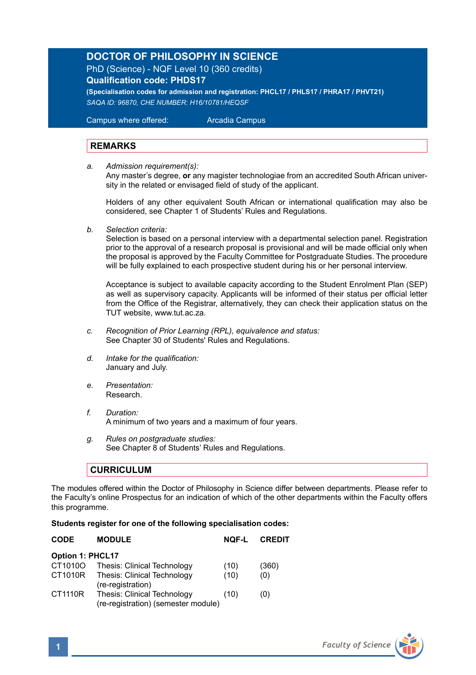## **DOCTOR OF PHILOSOPHY IN SCIENCE**

PhD (Science) - NQF Level 10 (360 credits)

**Qualification code: PHDS17**

**(Specialisation codes for admission and registration: PHCL17 / PHLS17 / PHRA17 / PHVT21)** *SAQA ID: 96870, CHE NUMBER: H16/10781/HEQSF*

Campus where offered: Arcadia Campus

## **REMARKS**

*a. Admission requirement(s):* 

 Any master's degree, **or** any magister technologiae from an accredited South African univer sity in the related or envisaged field of study of the applicant.

Holders of any other equivalent South African or international qualification may also be considered, see Chapter 1 of Students' Rules and Regulations.

*b. Selection criteria:*

Selection is based on a personal interview with a departmental selection panel. Registration prior to the approval of a research proposal is provisional and will be made official only when the proposal is approved by the Faculty Committee for Postgraduate Studies. The procedure will be fully explained to each prospective student during his or her personal interview.

Acceptance is subject to available capacity according to the Student Enrolment Plan (SEP) as well as supervisory capacity. Applicants will be informed of their status per official letter from the Office of the Registrar, alternatively, they can check their application status on the TUT website, www.tut.ac.za.

- *c. Recognition of Prior Learning (RPL), equivalence and status:* See Chapter 30 of Students' Rules and Regulations.
- *d. Intake for the qualification:* January and July.
- *e. Presentation:*  Research.
- *f. Duration:* A minimum of two years and a maximum of four years.
- *g. Rules on postgraduate studies:* See Chapter 8 of Students' Rules and Regulations.

## **CURRICULUM**

The modules offered within the Doctor of Philosophy in Science differ between departments. Please refer to the Faculty's online Prospectus for an indication of which of the other departments within the Faculty offers this programme.

## **Students register for one of the following specialisation codes:**

| <b>MODULE</b>                                                      | <b>NOF-L</b> | <b>CREDIT</b> |
|--------------------------------------------------------------------|--------------|---------------|
| <b>Option 1: PHCL17</b>                                            |              |               |
| Thesis: Clinical Technology                                        | (10)         | (360)         |
| Thesis: Clinical Technology<br>(re-registration)                   | (10)         | (0)           |
| Thesis: Clinical Technology<br>(re-registration) (semester module) | (10)         | (0)           |
|                                                                    |              |               |